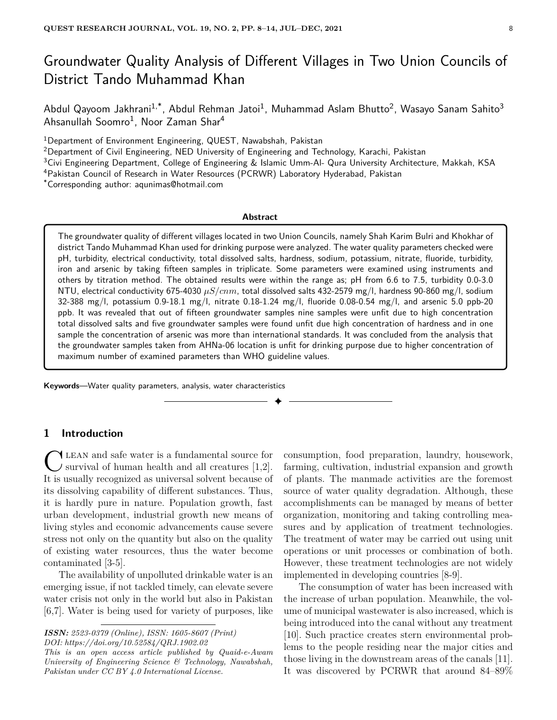# Groundwater Quality Analysis of Different Villages in Two Union Councils of District Tando Muhammad Khan

Abdul Qayoom Jakhrani $^{1,*}$ , Abdul Rehman Jatoi $^1$ , Muhammad Aslam Bhutto $^2$ , Wasayo Sanam Sahito $^3$ Ahsanullah Soomro<sup>1</sup>, Noor Zaman Shar<sup>4</sup>

<sup>1</sup>Department of Environment Engineering, QUEST, Nawabshah, Pakistan

<sup>2</sup>Department of Civil Engineering, NED University of Engineering and Technology, Karachi, Pakistan

 $3$ Civi Engineering Department, College of Engineering & Islamic Umm-Al- Qura University Architecture, Makkah, KSA

<sup>4</sup>Pakistan Council of Research in Water Resources (PCRWR) Laboratory Hyderabad, Pakistan

\*Corresponding author: aqunimas@hotmail.com

#### **Abstract**

The groundwater quality of different villages located in two Union Councils, namely Shah Karim Bulri and Khokhar of district Tando Muhammad Khan used for drinking purpose were analyzed. The water quality parameters checked were pH, turbidity, electrical conductivity, total dissolved salts, hardness, sodium, potassium, nitrate, fluoride, turbidity, iron and arsenic by taking fifteen samples in triplicate. Some parameters were examined using instruments and others by titration method. The obtained results were within the range as; pH from 6.6 to 7.5, turbidity 0.0-3.0 NTU, electrical conductivity 675-4030 *µS/cnm*, total dissolved salts 432-2579 mg/l, hardness 90-860 mg/l, sodium 32-388 mg/l, potassium 0.9-18.1 mg/l, nitrate 0.18-1.24 mg/l, fluoride 0.08-0.54 mg/l, and arsenic 5.0 ppb-20 ppb. It was revealed that out of fifteen groundwater samples nine samples were unfit due to high concentration total dissolved salts and five groundwater samples were found unfit due high concentration of hardness and in one sample the concentration of arsenic was more than international standards. It was concluded from the analysis that the groundwater samples taken from AHNa-06 location is unfit for drinking purpose due to higher concentration of maximum number of examined parameters than WHO guideline values.

✦

**Keywords**—Water quality parameters, analysis, water characteristics

## **1 Introduction**

C LEAN and safe water is a fundamental source for survival of human health and all creatures [1,2]. It is usually recognized as universal solvent because of LEAN and safe water is a fundamental source for survival of human health and all creatures [1,2]. its dissolving capability of different substances. Thus, it is hardly pure in nature. Population growth, fast urban development, industrial growth new means of living styles and economic advancements cause severe stress not only on the quantity but also on the quality of existing water resources, thus the water become contaminated [3-5].

The availability of unpolluted drinkable water is an emerging issue, if not tackled timely, can elevate severe water crisis not only in the world but also in Pakistan [6,7]. Water is being used for variety of purposes, like

*ISSN: 2523-0379 (Online), ISSN: 1605-8607 (Print)*

*DOI: https://doi.org/10.52584/QRJ.1902.02*

*This is an open access article published by Quaid-e-Awam University of Engineering Science & Technology, Nawabshah, Pakistan under CC BY 4.0 International License.*

consumption, food preparation, laundry, housework, farming, cultivation, industrial expansion and growth of plants. The manmade activities are the foremost source of water quality degradation. Although, these accomplishments can be managed by means of better organization, monitoring and taking controlling measures and by application of treatment technologies. The treatment of water may be carried out using unit operations or unit processes or combination of both. However, these treatment technologies are not widely implemented in developing countries [8-9].

The consumption of water has been increased with the increase of urban population. Meanwhile, the volume of municipal wastewater is also increased, which is being introduced into the canal without any treatment [10]. Such practice creates stern environmental problems to the people residing near the major cities and those living in the downstream areas of the canals [11]. It was discovered by PCRWR that around 84–89%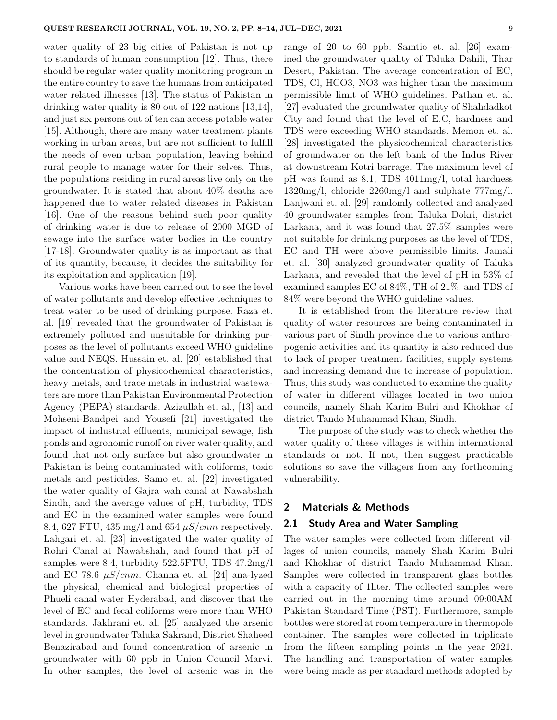water quality of 23 big cities of Pakistan is not up to standards of human consumption [12]. Thus, there should be regular water quality monitoring program in the entire country to save the humans from anticipated water related illnesses [13]. The status of Pakistan in drinking water quality is 80 out of 122 nations [13,14], and just six persons out of ten can access potable water [15]. Although, there are many water treatment plants working in urban areas, but are not sufficient to fulfill the needs of even urban population, leaving behind rural people to manage water for their selves. Thus, the populations residing in rural areas live only on the groundwater. It is stated that about 40% deaths are happened due to water related diseases in Pakistan [16]. One of the reasons behind such poor quality of drinking water is due to release of 2000 MGD of sewage into the surface water bodies in the country [17-18]. Groundwater quality is as important as that of its quantity, because, it decides the suitability for its exploitation and application [19].

Various works have been carried out to see the level of water pollutants and develop effective techniques to treat water to be used of drinking purpose. Raza et. al. [19] revealed that the groundwater of Pakistan is extremely polluted and unsuitable for drinking purposes as the level of pollutants exceed WHO guideline value and NEQS. Hussain et. al. [20] established that the concentration of physicochemical characteristics, heavy metals, and trace metals in industrial wastewaters are more than Pakistan Environmental Protection Agency (PEPA) standards. Azizullah et. al., [13] and Mohseni-Bandpei and Yousefi [21] investigated the impact of industrial effluents, municipal sewage, fish ponds and agronomic runoff on river water quality, and found that not only surface but also groundwater in Pakistan is being contaminated with coliforms, toxic metals and pesticides. Samo et. al. [22] investigated the water quality of Gajra wah canal at Nawabshah Sindh, and the average values of pH, turbidity, TDS and EC in the examined water samples were found 8.4, 627 FTU, 435 mg/l and 654 *µS/cnm* respectively. Lahgari et. al. [23] investigated the water quality of Rohri Canal at Nawabshah, and found that pH of samples were 8.4, turbidity 522.5FTU, TDS 47.2mg/l and EC 78.6  $\mu S/cmm$ . Channa et. al. [24] ana-lyzed the physical, chemical and biological properties of Phueli canal water Hyderabad, and discover that the level of EC and fecal coliforms were more than WHO standards. Jakhrani et. al. [25] analyzed the arsenic level in groundwater Taluka Sakrand, District Shaheed Benazirabad and found concentration of arsenic in groundwater with 60 ppb in Union Council Marvi. In other samples, the level of arsenic was in the range of 20 to 60 ppb. Samtio et. al. [26] examined the groundwater quality of Taluka Dahili, Thar Desert, Pakistan. The average concentration of EC, TDS, Cl, HCO3, NO3 was higher than the maximum permissible limit of WHO guidelines. Pathan et. al. [27] evaluated the groundwater quality of Shahdadkot City and found that the level of E.C, hardness and TDS were exceeding WHO standards. Memon et. al. [28] investigated the physicochemical characteristics of groundwater on the left bank of the Indus River at downstream Kotri barrage. The maximum level of pH was found as 8.1, TDS 4011mg/l, total hardness 1320mg/l, chloride 2260mg/l and sulphate 777mg/l. Lanjwani et. al. [29] randomly collected and analyzed 40 groundwater samples from Taluka Dokri, district Larkana, and it was found that 27.5% samples were not suitable for drinking purposes as the level of TDS, EC and TH were above permissible limits. Jamali et. al. [30] analyzed groundwater quality of Taluka Larkana, and revealed that the level of pH in 53% of examined samples EC of 84%, TH of 21%, and TDS of 84% were beyond the WHO guideline values.

It is established from the literature review that quality of water resources are being contaminated in various part of Sindh province due to various anthropogenic activities and its quantity is also reduced due to lack of proper treatment facilities, supply systems and increasing demand due to increase of population. Thus, this study was conducted to examine the quality of water in different villages located in two union councils, namely Shah Karim Bulri and Khokhar of district Tando Muhammad Khan, Sindh.

The purpose of the study was to check whether the water quality of these villages is within international standards or not. If not, then suggest practicable solutions so save the villagers from any forthcoming vulnerability.

### **2 Materials & Methods**

#### **2.1 Study Area and Water Sampling**

The water samples were collected from different villages of union councils, namely Shah Karim Bulri and Khokhar of district Tando Muhammad Khan. Samples were collected in transparent glass bottles with a capacity of 1liter. The collected samples were carried out in the morning time around 09:00AM Pakistan Standard Time (PST). Furthermore, sample bottles were stored at room temperature in thermopole container. The samples were collected in triplicate from the fifteen sampling points in the year 2021. The handling and transportation of water samples were being made as per standard methods adopted by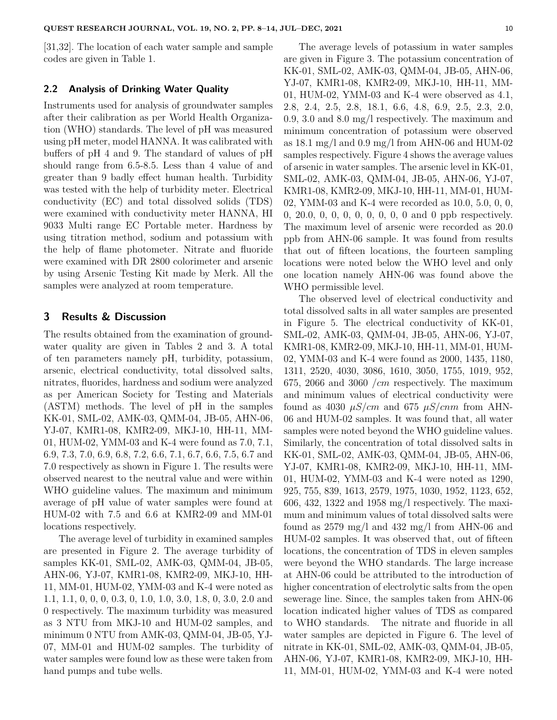[31,32]. The location of each water sample and sample codes are given in Table 1.

#### **2.2 Analysis of Drinking Water Quality**

Instruments used for analysis of groundwater samples after their calibration as per World Health Organization (WHO) standards. The level of pH was measured using pH meter, model HANNA. It was calibrated with buffers of pH 4 and 9. The standard of values of pH should range from 6.5-8.5. Less than 4 value of and greater than 9 badly effect human health. Turbidity was tested with the help of turbidity meter. Electrical conductivity (EC) and total dissolved solids (TDS) were examined with conductivity meter HANNA, HI 9033 Multi range EC Portable meter. Hardness by using titration method, sodium and potassium with the help of flame photometer. Nitrate and fluoride were examined with DR 2800 colorimeter and arsenic by using Arsenic Testing Kit made by Merk. All the samples were analyzed at room temperature.

#### **3 Results & Discussion**

The results obtained from the examination of groundwater quality are given in Tables 2 and 3. A total of ten parameters namely pH, turbidity, potassium, arsenic, electrical conductivity, total dissolved salts, nitrates, fluorides, hardness and sodium were analyzed as per American Society for Testing and Materials (ASTM) methods. The level of pH in the samples KK-01, SML-02, AMK-03, QMM-04, JB-05, AHN-06, YJ-07, KMR1-08, KMR2-09, MKJ-10, HH-11, MM-01, HUM-02, YMM-03 and K-4 were found as 7.0, 7.1, 6.9, 7.3, 7.0, 6.9, 6.8, 7.2, 6.6, 7.1, 6.7, 6.6, 7.5, 6.7 and 7.0 respectively as shown in Figure 1. The results were observed nearest to the neutral value and were within WHO guideline values. The maximum and minimum average of pH value of water samples were found at HUM-02 with 7.5 and 6.6 at KMR2-09 and MM-01 locations respectively.

The average level of turbidity in examined samples are presented in Figure 2. The average turbidity of samples KK-01, SML-02, AMK-03, QMM-04, JB-05, AHN-06, YJ-07, KMR1-08, KMR2-09, MKJ-10, HH-11, MM-01, HUM-02, YMM-03 and K-4 were noted as 1.1, 1.1, 0, 0, 0, 0.3, 0, 1.0, 1.0, 3.0, 1.8, 0, 3.0, 2.0 and 0 respectively. The maximum turbidity was measured as 3 NTU from MKJ-10 and HUM-02 samples, and minimum 0 NTU from AMK-03, QMM-04, JB-05, YJ-07, MM-01 and HUM-02 samples. The turbidity of water samples were found low as these were taken from hand pumps and tube wells.

The average levels of potassium in water samples are given in Figure 3. The potassium concentration of KK-01, SML-02, AMK-03, QMM-04, JB-05, AHN-06, YJ-07, KMR1-08, KMR2-09, MKJ-10, HH-11, MM-01, HUM-02, YMM-03 and K-4 were observed as 4.1, 2.8, 2.4, 2.5, 2.8, 18.1, 6.6, 4.8, 6.9, 2.5, 2.3, 2.0, 0.9, 3.0 and 8.0 mg/l respectively. The maximum and minimum concentration of potassium were observed as 18.1 mg/l and 0.9 mg/l from AHN-06 and HUM-02 samples respectively. Figure 4 shows the average values of arsenic in water samples. The arsenic level in KK-01, SML-02, AMK-03, QMM-04, JB-05, AHN-06, YJ-07, KMR1-08, KMR2-09, MKJ-10, HH-11, MM-01, HUM-02, YMM-03 and K-4 were recorded as 10.0, 5.0, 0, 0, 0, 20.0, 0, 0, 0, 0, 0, 0, 0, 0 and 0 ppb respectively. The maximum level of arsenic were recorded as 20.0 ppb from AHN-06 sample. It was found from results that out of fifteen locations, the fourteen sampling locations were noted below the WHO level and only one location namely AHN-06 was found above the WHO permissible level.

The observed level of electrical conductivity and total dissolved salts in all water samples are presented in Figure 5. The electrical conductivity of KK-01, SML-02, AMK-03, QMM-04, JB-05, AHN-06, YJ-07, KMR1-08, KMR2-09, MKJ-10, HH-11, MM-01, HUM-02, YMM-03 and K-4 were found as 2000, 1435, 1180, 1311, 2520, 4030, 3086, 1610, 3050, 1755, 1019, 952, 675, 2066 and 3060 */cm* respectively. The maximum and minimum values of electrical conductivity were found as 4030  $\mu$ S/cm and 675  $\mu$ S/cnm from AHN-06 and HUM-02 samples. It was found that, all water samples were noted beyond the WHO guideline values. Similarly, the concentration of total dissolved salts in KK-01, SML-02, AMK-03, QMM-04, JB-05, AHN-06, YJ-07, KMR1-08, KMR2-09, MKJ-10, HH-11, MM-01, HUM-02, YMM-03 and K-4 were noted as 1290, 925, 755, 839, 1613, 2579, 1975, 1030, 1952, 1123, 652, 606, 432, 1322 and 1958 mg/l respectively. The maximum and minimum values of total dissolved salts were found as 2579 mg/l and 432 mg/l from AHN-06 and HUM-02 samples. It was observed that, out of fifteen locations, the concentration of TDS in eleven samples were beyond the WHO standards. The large increase at AHN-06 could be attributed to the introduction of higher concentration of electrolytic salts from the open sewerage line. Since, the samples taken from AHN-06 location indicated higher values of TDS as compared to WHO standards. The nitrate and fluoride in all water samples are depicted in Figure 6. The level of nitrate in KK-01, SML-02, AMK-03, QMM-04, JB-05, AHN-06, YJ-07, KMR1-08, KMR2-09, MKJ-10, HH-11, MM-01, HUM-02, YMM-03 and K-4 were noted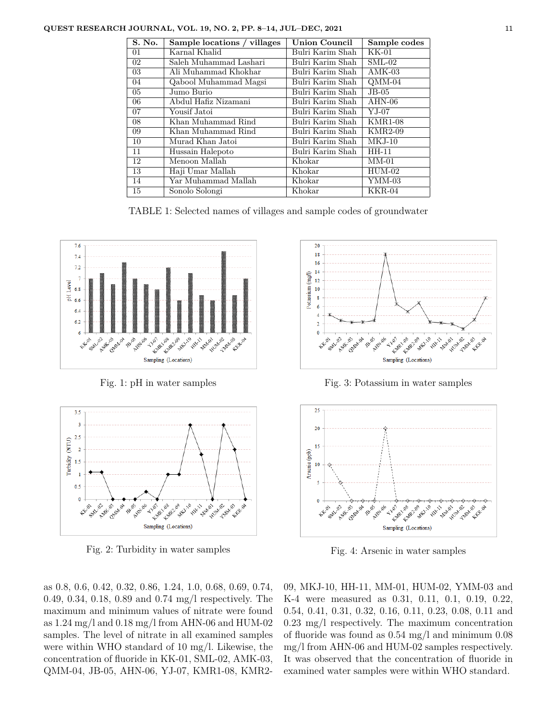| S. No. | Sample locations / villages | <b>Union Council</b> | Sample codes                 |
|--------|-----------------------------|----------------------|------------------------------|
| 01     | Karnal Khalid               | Bulri Karim Shah     | KK-01                        |
| 02     | Saleh Muhammad Lashari      | Bulri Karim Shah     | $SML-02$                     |
| 03     | Ali Muhammad Khokhar        | Bulri Karim Shah     | $AMK-03$                     |
| 04     | Qabool Muhammad Magsi       | Bulri Karim Shah     | $OMM-04$                     |
| 05     | Jumo Burio                  | Bulri Karim Shah     | $JB-05$                      |
| 06     | Abdul Hafiz Nizamani        | Bulri Karim Shah     | $AHN-06$                     |
| 07     | Yousif Jatoi                | Bulri Karim Shah     | $YJ-07$                      |
| 08     | Khan Muhammad Rind          | Bulri Karim Shah     | <b>KMR1-08</b>               |
| 09     | Khan Muhammad Rind          | Bulri Karim Shah     | $\overline{\text{KMR}}$ 2-09 |
| 10     | Murad Khan Jatoi            | Bulri Karim Shah     | $MKJ-10$                     |
| 11     | Hussain Halepoto            | Bulri Karim Shah     | HH-11                        |
| 12     | Menoon Mallah               | Khokar               | $MM-01$                      |
| 13     | Haji Umar Mallah            | Khokar               | $HUM-02$                     |
| 14     | Yar Muhammad Mallah         | Khokar               | YMM-03                       |
| 15     | Sonolo Solongi              | Khokar               | $KKR-04$                     |

TABLE 1: Selected names of villages and sample codes of groundwater



Fig. 1: pH in water samples



Fig. 2: Turbidity in water samples

as 0.8, 0.6, 0.42, 0.32, 0.86, 1.24, 1.0, 0.68, 0.69, 0.74, 0.49, 0.34, 0.18, 0.89 and 0.74 mg/l respectively. The maximum and minimum values of nitrate were found as 1.24 mg/l and 0.18 mg/l from AHN-06 and HUM-02 samples. The level of nitrate in all examined samples were within WHO standard of 10 mg/l. Likewise, the concentration of fluoride in KK-01, SML-02, AMK-03, QMM-04, JB-05, AHN-06, YJ-07, KMR1-08, KMR2-



Fig. 3: Potassium in water samples



Fig. 4: Arsenic in water samples

09, MKJ-10, HH-11, MM-01, HUM-02, YMM-03 and K-4 were measured as 0.31, 0.11, 0.1, 0.19, 0.22, 0.54, 0.41, 0.31, 0.32, 0.16, 0.11, 0.23, 0.08, 0.11 and 0.23 mg/l respectively. The maximum concentration of fluoride was found as 0.54 mg/l and minimum 0.08 mg/l from AHN-06 and HUM-02 samples respectively. It was observed that the concentration of fluoride in examined water samples were within WHO standard.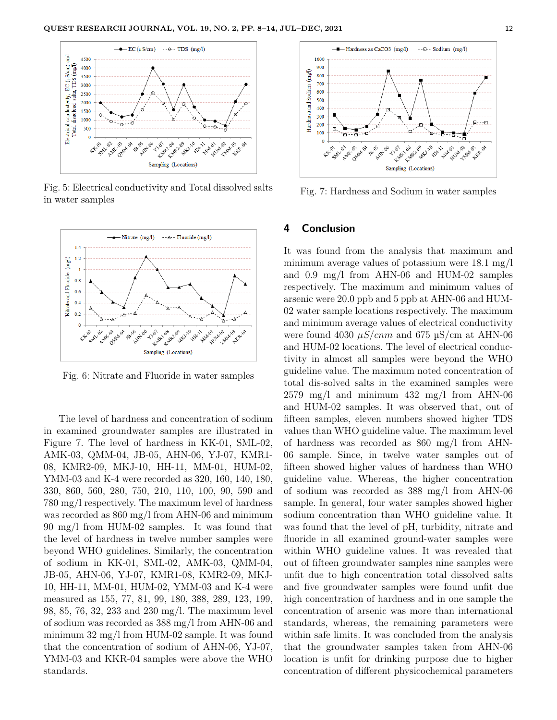

Fig. 5: Electrical conductivity and Total dissolved salts in water samples



Fig. 6: Nitrate and Fluoride in water samples

The level of hardness and concentration of sodium in examined groundwater samples are illustrated in Figure 7. The level of hardness in KK-01, SML-02, AMK-03, QMM-04, JB-05, AHN-06, YJ-07, KMR1- 08, KMR2-09, MKJ-10, HH-11, MM-01, HUM-02, YMM-03 and K-4 were recorded as 320, 160, 140, 180, 330, 860, 560, 280, 750, 210, 110, 100, 90, 590 and 780 mg/l respectively. The maximum level of hardness was recorded as 860 mg/l from AHN-06 and minimum 90 mg/l from HUM-02 samples. It was found that the level of hardness in twelve number samples were beyond WHO guidelines. Similarly, the concentration of sodium in KK-01, SML-02, AMK-03, QMM-04, JB-05, AHN-06, YJ-07, KMR1-08, KMR2-09, MKJ-10, HH-11, MM-01, HUM-02, YMM-03 and K-4 were measured as 155, 77, 81, 99, 180, 388, 289, 123, 199, 98, 85, 76, 32, 233 and 230 mg/l. The maximum level of sodium was recorded as 388 mg/l from AHN-06 and minimum 32 mg/l from HUM-02 sample. It was found that the concentration of sodium of AHN-06, YJ-07, YMM-03 and KKR-04 samples were above the WHO standards.



Fig. 7: Hardness and Sodium in water samples

## **4 Conclusion**

It was found from the analysis that maximum and minimum average values of potassium were 18.1 mg/l and 0.9 mg/l from AHN-06 and HUM-02 samples respectively. The maximum and minimum values of arsenic were 20.0 ppb and 5 ppb at AHN-06 and HUM-02 water sample locations respectively. The maximum and minimum average values of electrical conductivity were found 4030  $\mu$ S/cnm and 675  $\mu$ S/cm at AHN-06 and HUM-02 locations. The level of electrical conductivity in almost all samples were beyond the WHO guideline value. The maximum noted concentration of total dis-solved salts in the examined samples were  $2579 \text{ mg/l}$  and minimum  $432 \text{ mg/l}$  from AHN-06 and HUM-02 samples. It was observed that, out of fifteen samples, eleven numbers showed higher TDS values than WHO guideline value. The maximum level of hardness was recorded as 860 mg/l from AHN-06 sample. Since, in twelve water samples out of fifteen showed higher values of hardness than WHO guideline value. Whereas, the higher concentration of sodium was recorded as 388 mg/l from AHN-06 sample. In general, four water samples showed higher sodium concentration than WHO guideline value. It was found that the level of pH, turbidity, nitrate and fluoride in all examined ground-water samples were within WHO guideline values. It was revealed that out of fifteen groundwater samples nine samples were unfit due to high concentration total dissolved salts and five groundwater samples were found unfit due high concentration of hardness and in one sample the concentration of arsenic was more than international standards, whereas, the remaining parameters were within safe limits. It was concluded from the analysis that the groundwater samples taken from AHN-06 location is unfit for drinking purpose due to higher concentration of different physicochemical parameters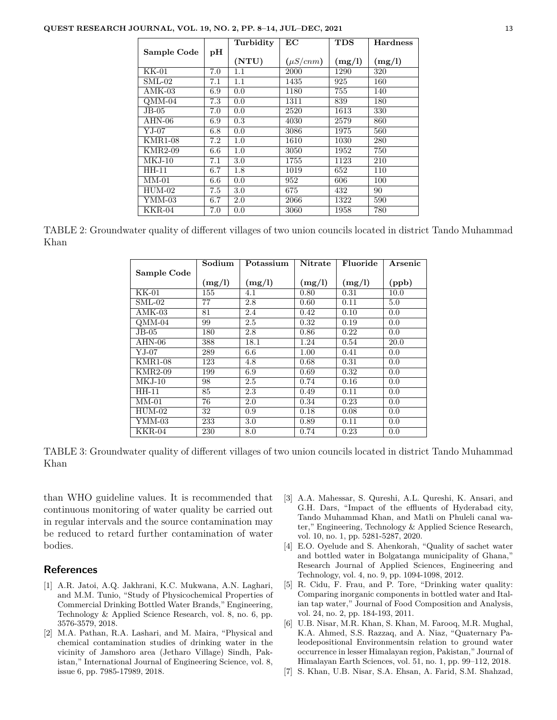|                      |         | Turbidity | $\mathbf{EC}$ | <b>TDS</b> | <b>Hardness</b> |
|----------------------|---------|-----------|---------------|------------|-----------------|
| Sample Code          | pH      |           |               |            |                 |
|                      |         | (NTU)     | $(\mu S/cmm)$ | (mg/l)     | (mg/l)          |
| KK-01                | 7.0     | $1.1\,$   | 2000          | 1290       | 320             |
| $SML-02$             | 7.1     | 1.1       | 1435          | 925        | 160             |
| $AMK-03$             | 6.9     | 0.0       | 1180          | 755        | 140             |
| $OMM-04$             | 7.3     | 0.0       | 1311          | 839        | 180             |
| $JB-05$              | 7.0     | 0.0       | 2520          | 1613       | 330             |
| AHN-06               | 6.9     | 0.3       | 4030          | 2579       | 860             |
| ${\rm YJ\text{-}07}$ | 6.8     | 0.0       | 3086          | 1975       | 560             |
| <b>KMR1-08</b>       | 7.2     | 1.0       | 1610          | 1030       | 280             |
| <b>KMR2-09</b>       | 6.6     | 1.0       | 3050          | 1952       | 750             |
| $MKJ-10$             | 7.1     | 3.0       | 1755          | 1123       | 210             |
| HH-11                | 6.7     | 1.8       | 1019          | 652        | 110             |
| $MM-01$              | $6.6\,$ | 0.0       | 952           | 606        | 100             |
| $HUM-02$             | 7.5     | 3.0       | 675           | 432        | 90              |
| YMM-03               | 6.7     | 2.0       | 2066          | 1322       | 590             |
| $KKR-04$             | 7.0     | 0.0       | 3060          | 1958       | 780             |

TABLE 2: Groundwater quality of different villages of two union councils located in district Tando Muhammad Khan

|                          | Sodium | Potassium | <b>Nitrate</b> | Fluoride | Arsenic |
|--------------------------|--------|-----------|----------------|----------|---------|
| Sample Code              |        |           |                |          |         |
|                          | (mg/l) | (mg/l)    | (mg/l)         | (mg/l)   | (ppb)   |
| $KK-01$                  | 155    | 4.1       | 0.80           | 0.31     | 10.0    |
| $\mathrm{SML}\text{-}02$ | 77     | 2.8       | 0.60           | 0.11     | 5.0     |
| $AMK-03$                 | 81     | 2.4       | 0.42           | 0.10     | 0.0     |
| $OMM-04$                 | 99     | 2.5       | 0.32           | 0.19     | 0.0     |
| $JB-05$                  | 180    | 2.8       | 0.86           | 0.22     | 0.0     |
| $AHN-06$                 | 388    | 18.1      | 1.24           | 0.54     | 20.0    |
| $YJ-07$                  | 289    | 6.6       | 1.00           | 0.41     | 0.0     |
| <b>KMR1-08</b>           | 123    | 4.8       | 0.68           | 0.31     | 0.0     |
| KMR2-09                  | 199    | 6.9       | 0.69           | 0.32     | 0.0     |
| $MKJ-10$                 | 98     | 2.5       | 0.74           | 0.16     | 0.0     |
| HH-11                    | 85     | 2.3       | 0.49           | 0.11     | 0.0     |
| $MM-01$                  | 76     | 2.0       | 0.34           | 0.23     | 0.0     |
| $HUM-02$                 | 32     | 0.9       | 0.18           | 0.08     | 0.0     |
| YMM-03                   | 233    | 3.0       | 0.89           | 0.11     | 0.0     |
| $KKR-04$                 | 230    | 8.0       | 0.74           | 0.23     | 0.0     |

TABLE 3: Groundwater quality of different villages of two union councils located in district Tando Muhammad Khan

than WHO guideline values. It is recommended that continuous monitoring of water quality be carried out in regular intervals and the source contamination may be reduced to retard further contamination of water bodies.

## **References**

- [1] A.R. Jatoi, A.Q. Jakhrani, K.C. Mukwana, A.N. Laghari, and M.M. Tunio, "Study of Physicochemical Properties of Commercial Drinking Bottled Water Brands," Engineering, Technology & Applied Science Research, vol. 8, no. 6, pp. 3576-3579, 2018.
- [2] M.A. Pathan, R.A. Lashari, and M. Maira, "Physical and chemical contamination studies of drinking water in the vicinity of Jamshoro area (Jetharo Village) Sindh, Pakistan," International Journal of Engineering Science, vol. 8, issue 6, pp. 7985-17989, 2018.
- [3] A.A. Mahessar, S. Qureshi, A.L. Qureshi, K. Ansari, and G.H. Dars, "Impact of the effluents of Hyderabad city, Tando Muhammad Khan, and Matli on Phuleli canal water," Engineering, Technology & Applied Science Research, vol. 10, no. 1, pp. 5281-5287, 2020.
- [4] E.O. Oyelude and S. Ahenkorah, "Quality of sachet water and bottled water in Bolgatanga municipality of Ghana," Research Journal of Applied Sciences, Engineering and Technology, vol. 4, no. 9, pp. 1094-1098, 2012.
- [5] R. Cidu, F. Frau, and P. Tore, "Drinking water quality: Comparing inorganic components in bottled water and Italian tap water," Journal of Food Composition and Analysis, vol. 24, no. 2, pp. 184-193, 2011.
- [6] U.B. Nisar, M.R. Khan, S. Khan, M. Farooq, M.R. Mughal, K.A. Ahmed, S.S. Razzaq, and A. Niaz, "Quaternary Paleodepositional Environmentsin relation to ground water occurrence in lesser Himalayan region, Pakistan," Journal of Himalayan Earth Sciences, vol. 51, no. 1, pp. 99–112, 2018.
- [7] S. Khan, U.B. Nisar, S.A. Ehsan, A. Farid, S.M. Shahzad,